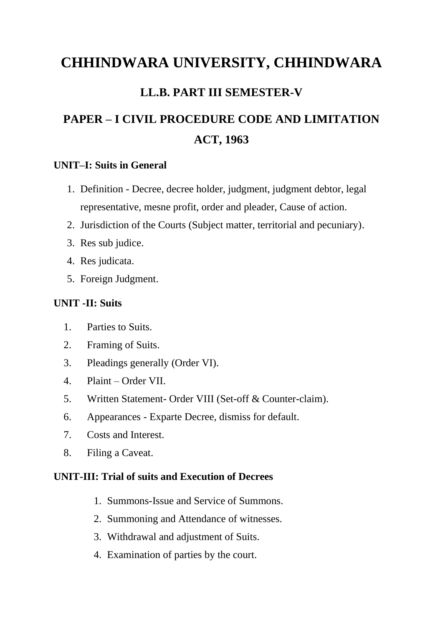### **LL.B. PART III SEMESTER-V**

# **PAPER – I CIVIL PROCEDURE CODE AND LIMITATION ACT, 1963**

#### **UNIT–I: Suits in General**

- 1. Definition Decree, decree holder, judgment, judgment debtor, legal representative, mesne profit, order and pleader, Cause of action.
- 2. Jurisdiction of the Courts (Subject matter, territorial and pecuniary).
- 3. Res sub judice.
- 4. Res judicata.
- 5. Foreign Judgment.

#### **UNIT -II: Suits**

- 1. Parties to Suits.
- 2. Framing of Suits.
- 3. Pleadings generally (Order VI).
- 4. Plaint Order VII.
- 5. Written Statement- Order VIII (Set-off & Counter-claim).
- 6. Appearances Exparte Decree, dismiss for default.
- 7. Costs and Interest.
- 8. Filing a Caveat.

#### **UNIT-III: Trial of suits and Execution of Decrees**

- 1. Summons-Issue and Service of Summons.
- 2. Summoning and Attendance of witnesses.
- 3. Withdrawal and adjustment of Suits.
- 4. Examination of parties by the court.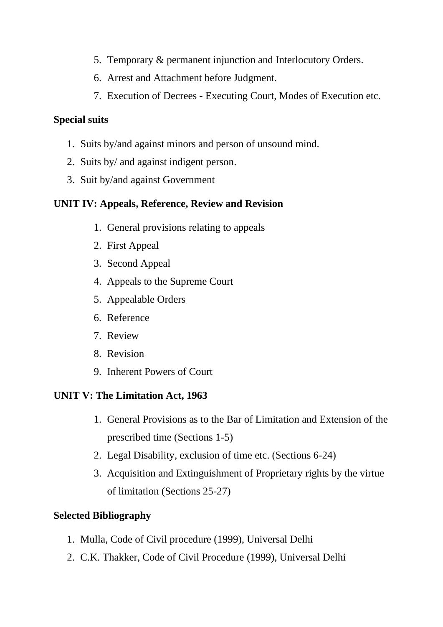- 5. Temporary & permanent injunction and Interlocutory Orders.
- 6. Arrest and Attachment before Judgment.
- 7. Execution of Decrees Executing Court, Modes of Execution etc.

### **Special suits**

- 1. Suits by/and against minors and person of unsound mind.
- 2. Suits by/ and against indigent person.
- 3. Suit by/and against Government

### **UNIT IV: Appeals, Reference, Review and Revision**

- 1. General provisions relating to appeals
- 2. First Appeal
- 3. Second Appeal
- 4. Appeals to the Supreme Court
- 5. Appealable Orders
- 6. Reference
- 7. Review
- 8. Revision
- 9. Inherent Powers of Court

### **UNIT V: The Limitation Act, 1963**

- 1. General Provisions as to the Bar of Limitation and Extension of the prescribed time (Sections 1-5)
- 2. Legal Disability, exclusion of time etc. (Sections 6-24)
- 3. Acquisition and Extinguishment of Proprietary rights by the virtue of limitation (Sections 25-27)

- 1. Mulla, Code of Civil procedure (1999), Universal Delhi
- 2. C.K. Thakker, Code of Civil Procedure (1999), Universal Delhi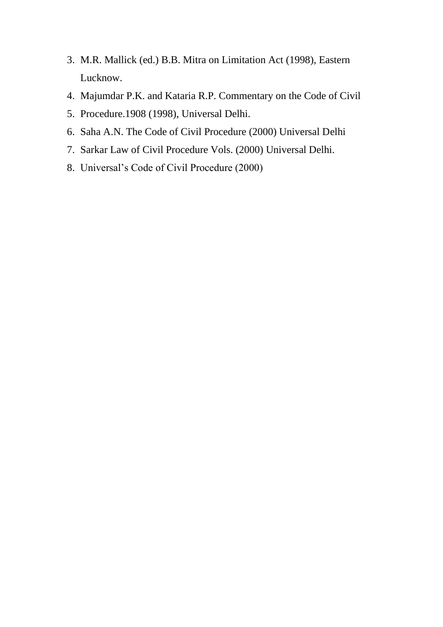- 3. M.R. Mallick (ed.) B.B. Mitra on Limitation Act (1998), Eastern Lucknow.
- 4. Majumdar P.K. and Kataria R.P. Commentary on the Code of Civil
- 5. Procedure.1908 (1998), Universal Delhi.
- 6. Saha A.N. The Code of Civil Procedure (2000) Universal Delhi
- 7. Sarkar Law of Civil Procedure Vols. (2000) Universal Delhi.
- 8. Universal's Code of Civil Procedure (2000)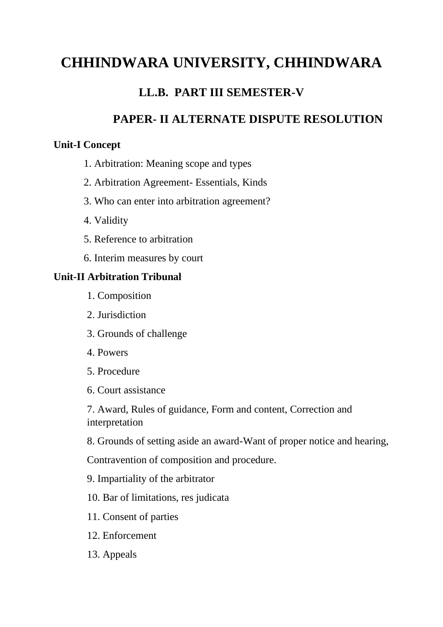### **LL.B. PART III SEMESTER-V**

### **PAPER- II ALTERNATE DISPUTE RESOLUTION**

### **Unit-I Concept**

- 1. Arbitration: Meaning scope and types
- 2. Arbitration Agreement- Essentials, Kinds
- 3. Who can enter into arbitration agreement?
- 4. Validity
- 5. Reference to arbitration
- 6. Interim measures by court

### **Unit-II Arbitration Tribunal**

- 1. Composition
- 2. Jurisdiction
- 3. Grounds of challenge
- 4. Powers
- 5. Procedure
- 6. Court assistance

7. Award, Rules of guidance, Form and content, Correction and interpretation

8. Grounds of setting aside an award-Want of proper notice and hearing,

Contravention of composition and procedure.

9. Impartiality of the arbitrator

10. Bar of limitations, res judicata

- 11. Consent of parties
- 12. Enforcement
- 13. Appeals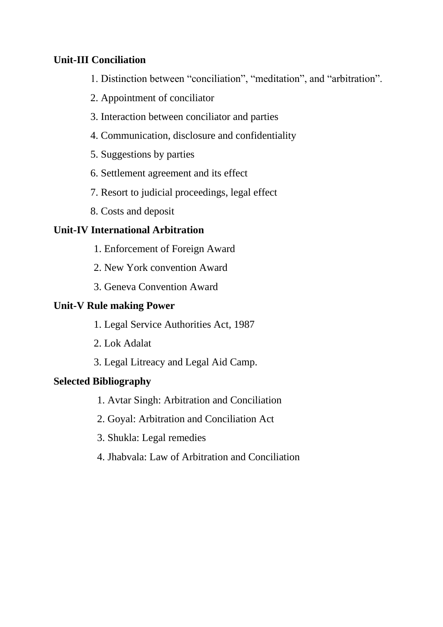### **Unit-III Conciliation**

- 1. Distinction between "conciliation", "meditation", and "arbitration".
- 2. Appointment of conciliator
- 3. Interaction between conciliator and parties
- 4. Communication, disclosure and confidentiality
- 5. Suggestions by parties
- 6. Settlement agreement and its effect
- 7. Resort to judicial proceedings, legal effect
- 8. Costs and deposit

### **Unit-IV International Arbitration**

- 1. Enforcement of Foreign Award
- 2. New York convention Award
- 3. Geneva Convention Award

### **Unit-V Rule making Power**

- 1. Legal Service Authorities Act, 1987
- 2. Lok Adalat
- 3. Legal Litreacy and Legal Aid Camp.

- 1. Avtar Singh: Arbitration and Conciliation
- 2. Goyal: Arbitration and Conciliation Act
- 3. Shukla: Legal remedies
- 4. Jhabvala: Law of Arbitration and Conciliation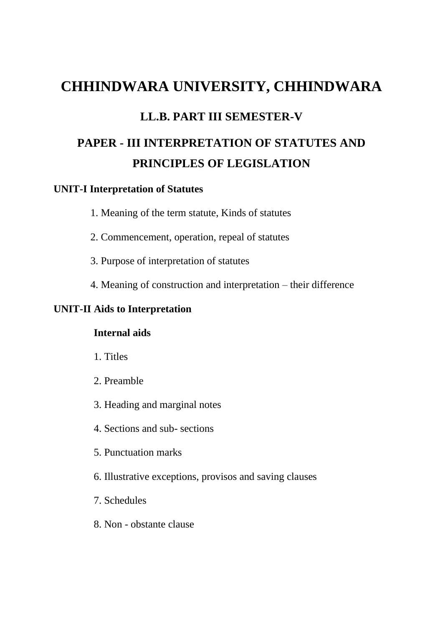# **CHHINDWARA UNIVERSITY, CHHINDWARA LL.B. PART III SEMESTER-V PAPER - III INTERPRETATION OF STATUTES AND PRINCIPLES OF LEGISLATION**

#### **UNIT-I Interpretation of Statutes**

- 1. Meaning of the term statute, Kinds of statutes
- 2. Commencement, operation, repeal of statutes
- 3. Purpose of interpretation of statutes
- 4. Meaning of construction and interpretation their difference

#### **UNIT-II Aids to Interpretation**

#### **Internal aids**

- 1. Titles
- 2. Preamble
- 3. Heading and marginal notes
- 4. Sections and sub- sections
- 5. Punctuation marks
- 6. Illustrative exceptions, provisos and saving clauses
- 7. Schedules
- 8. Non obstante clause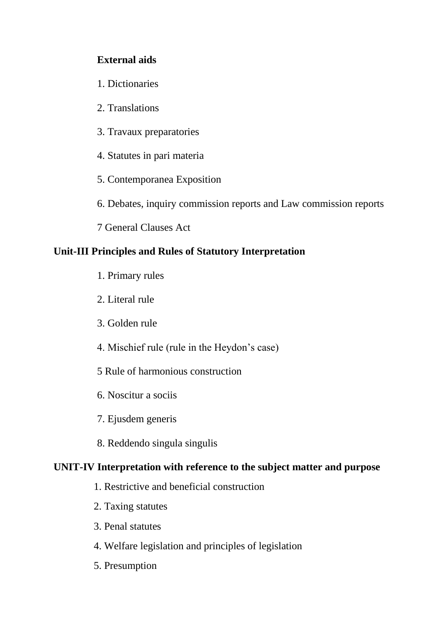### **External aids**

- 1. Dictionaries
- 2. Translations
- 3. Travaux preparatories
- 4. Statutes in pari materia
- 5. Contemporanea Exposition
- 6. Debates, inquiry commission reports and Law commission reports
- 7 General Clauses Act

### **Unit-III Principles and Rules of Statutory Interpretation**

- 1. Primary rules
- 2. Literal rule
- 3. Golden rule
- 4. Mischief rule (rule in the Heydon's case)
- 5 Rule of harmonious construction
- 6. Noscitur a sociis
- 7. Ejusdem generis
- 8. Reddendo singula singulis

#### **UNIT-IV Interpretation with reference to the subject matter and purpose**

- 1. Restrictive and beneficial construction
- 2. Taxing statutes
- 3. Penal statutes
- 4. Welfare legislation and principles of legislation
- 5. Presumption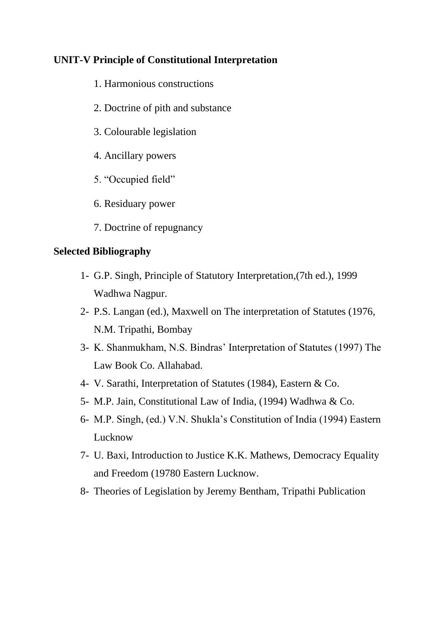### **UNIT-V Principle of Constitutional Interpretation**

- 1. Harmonious constructions
- 2. Doctrine of pith and substance
- 3. Colourable legislation
- 4. Ancillary powers
- 5. "Occupied field"
- 6. Residuary power
- 7. Doctrine of repugnancy

- 1- G.P. Singh, Principle of Statutory Interpretation,(7th ed.), 1999 Wadhwa Nagpur.
- 2- P.S. Langan (ed.), Maxwell on The interpretation of Statutes (1976, N.M. Tripathi, Bombay
- 3- K. Shanmukham, N.S. Bindras' Interpretation of Statutes (1997) The Law Book Co. Allahabad.
- 4- V. Sarathi, Interpretation of Statutes (1984), Eastern & Co.
- 5- M.P. Jain, Constitutional Law of India, (1994) Wadhwa & Co.
- 6- M.P. Singh, (ed.) V.N. Shukla's Constitution of India (1994) Eastern Lucknow
- 7- U. Baxi, Introduction to Justice K.K. Mathews, Democracy Equality and Freedom (19780 Eastern Lucknow.
- 8- Theories of Legislation by Jeremy Bentham, Tripathi Publication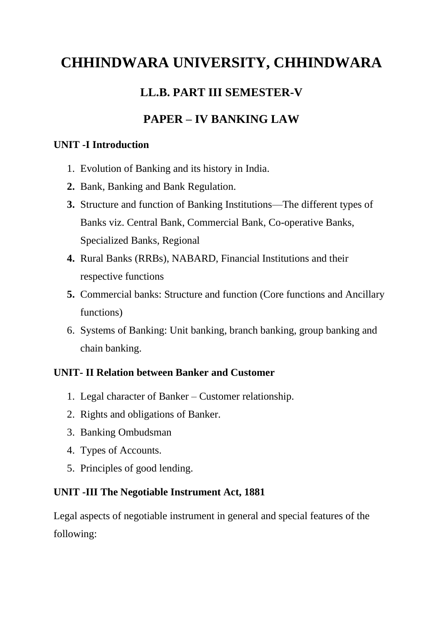### **LL.B. PART III SEMESTER-V**

### **PAPER – IV BANKING LAW**

### **UNIT -I Introduction**

- 1. Evolution of Banking and its history in India.
- **2.** Bank, Banking and Bank Regulation.
- **3.** Structure and function of Banking Institutions—The different types of Banks viz. Central Bank, Commercial Bank, Co-operative Banks, Specialized Banks, Regional
- **4.** Rural Banks (RRBs), NABARD, Financial Institutions and their respective functions
- **5.** Commercial banks: Structure and function (Core functions and Ancillary functions)
- 6. Systems of Banking: Unit banking, branch banking, group banking and chain banking.

### **UNIT- II Relation between Banker and Customer**

- 1. Legal character of Banker Customer relationship.
- 2. Rights and obligations of Banker.
- 3. Banking Ombudsman
- 4. Types of Accounts.
- 5. Principles of good lending.

### **UNIT -III The Negotiable Instrument Act, 1881**

Legal aspects of negotiable instrument in general and special features of the following: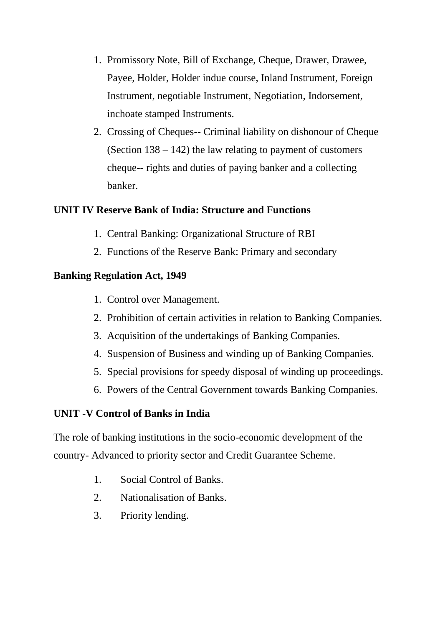- 1. Promissory Note, Bill of Exchange, Cheque, Drawer, Drawee, Payee, Holder, Holder indue course, Inland Instrument, Foreign Instrument, negotiable Instrument, Negotiation, Indorsement, inchoate stamped Instruments.
- 2. Crossing of Cheques-- Criminal liability on dishonour of Cheque (Section  $138 - 142$ ) the law relating to payment of customers cheque-- rights and duties of paying banker and a collecting banker.

### **UNIT IV Reserve Bank of India: Structure and Functions**

- 1. Central Banking: Organizational Structure of RBI
- 2. Functions of the Reserve Bank: Primary and secondary

### **Banking Regulation Act, 1949**

- 1. Control over Management.
- 2. Prohibition of certain activities in relation to Banking Companies.
- 3. Acquisition of the undertakings of Banking Companies.
- 4. Suspension of Business and winding up of Banking Companies.
- 5. Special provisions for speedy disposal of winding up proceedings.
- 6. Powers of the Central Government towards Banking Companies.

### **UNIT -V Control of Banks in India**

The role of banking institutions in the socio-economic development of the country- Advanced to priority sector and Credit Guarantee Scheme.

- 1. Social Control of Banks.
- 2. Nationalisation of Banks.
- 3. Priority lending.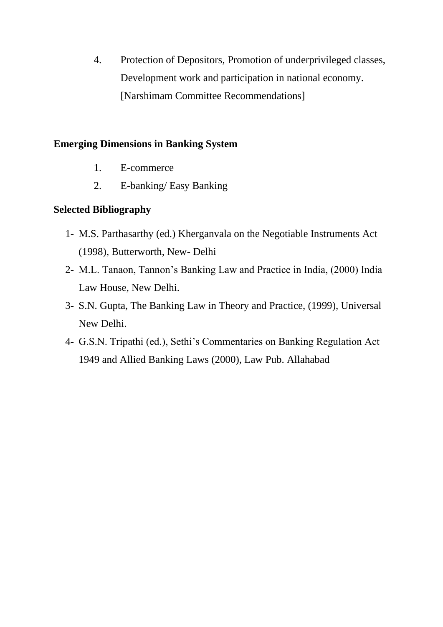4. Protection of Depositors, Promotion of underprivileged classes, Development work and participation in national economy. [Narshimam Committee Recommendations]

### **Emerging Dimensions in Banking System**

- 1. E-commerce
- 2. E-banking/ Easy Banking

- 1- M.S. Parthasarthy (ed.) Kherganvala on the Negotiable Instruments Act (1998), Butterworth, New- Delhi
- 2- M.L. Tanaon, Tannon's Banking Law and Practice in India, (2000) India Law House, New Delhi.
- 3- S.N. Gupta, The Banking Law in Theory and Practice, (1999), Universal New Delhi.
- 4- G.S.N. Tripathi (ed.), Sethi's Commentaries on Banking Regulation Act 1949 and Allied Banking Laws (2000), Law Pub. Allahabad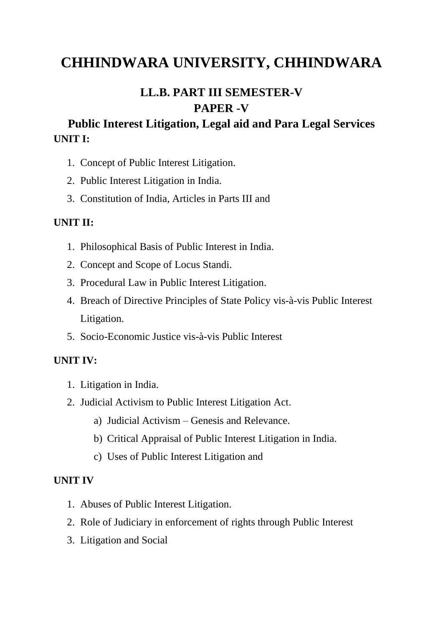### **LL.B. PART III SEMESTER-V PAPER -V**

### **Public Interest Litigation, Legal aid and Para Legal Services UNIT I:**

- 1. Concept of Public Interest Litigation.
- 2. Public Interest Litigation in India.
- 3. Constitution of India, Articles in Parts III and

### **UNIT II:**

- 1. Philosophical Basis of Public Interest in India.
- 2. Concept and Scope of Locus Standi.
- 3. Procedural Law in Public Interest Litigation.
- 4. Breach of Directive Principles of State Policy vis-à-vis Public Interest Litigation.
- 5. Socio-Economic Justice vis-à-vis Public Interest

### **UNIT IV:**

- 1. Litigation in India.
- 2. Judicial Activism to Public Interest Litigation Act.
	- a) Judicial Activism Genesis and Relevance.
	- b) Critical Appraisal of Public Interest Litigation in India.
	- c) Uses of Public Interest Litigation and

### **UNIT IV**

- 1. Abuses of Public Interest Litigation.
- 2. Role of Judiciary in enforcement of rights through Public Interest
- 3. Litigation and Social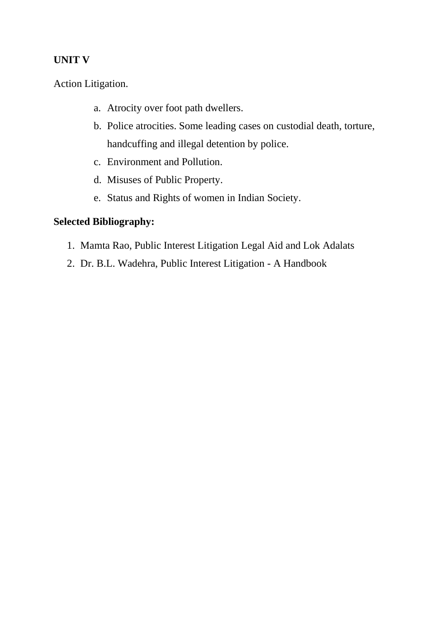### **UNIT V**

Action Litigation.

- a. Atrocity over foot path dwellers.
- b. Police atrocities. Some leading cases on custodial death, torture, handcuffing and illegal detention by police.
- c. Environment and Pollution.
- d. Misuses of Public Property.
- e. Status and Rights of women in Indian Society.

- 1. Mamta Rao, Public Interest Litigation Legal Aid and Lok Adalats
- 2. Dr. B.L. Wadehra, Public Interest Litigation A Handbook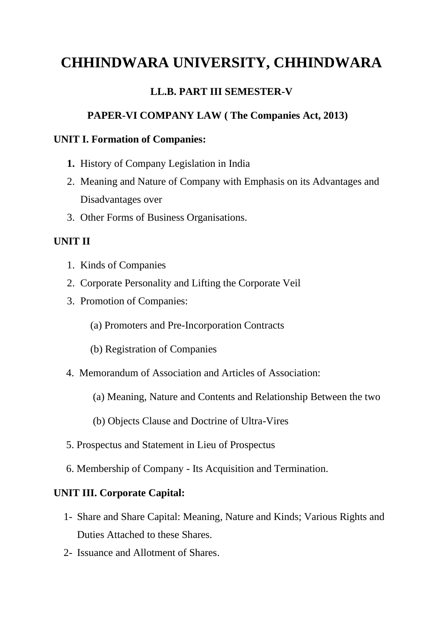### **LL.B. PART III SEMESTER-V**

### **PAPER-VI COMPANY LAW ( The Companies Act, 2013)**

### **UNIT I. Formation of Companies:**

- **1.** History of Company Legislation in India
- 2. Meaning and Nature of Company with Emphasis on its Advantages and Disadvantages over
- 3. Other Forms of Business Organisations.

### **UNIT II**

- 1. Kinds of Companies
- 2. Corporate Personality and Lifting the Corporate Veil
- 3. Promotion of Companies:
	- (a) Promoters and Pre-Incorporation Contracts
	- (b) Registration of Companies
- 4. Memorandum of Association and Articles of Association:
	- (a) Meaning, Nature and Contents and Relationship Between the two
	- (b) Objects Clause and Doctrine of Ultra-Vires
- 5. Prospectus and Statement in Lieu of Prospectus
- 6. Membership of Company Its Acquisition and Termination.

### **UNIT III. Corporate Capital:**

- 1- Share and Share Capital: Meaning, Nature and Kinds; Various Rights and Duties Attached to these Shares.
- 2- Issuance and Allotment of Shares.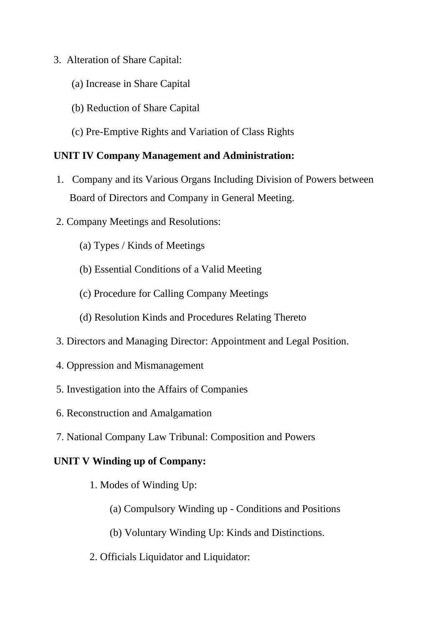- 3. Alteration of Share Capital:
	- (a) Increase in Share Capital
	- (b) Reduction of Share Capital
	- (c) Pre-Emptive Rights and Variation of Class Rights

### **UNIT IV Company Management and Administration:**

- 1. Company and its Various Organs Including Division of Powers between Board of Directors and Company in General Meeting.
- 2. Company Meetings and Resolutions:
	- (a) Types / Kinds of Meetings
	- (b) Essential Conditions of a Valid Meeting
	- (c) Procedure for Calling Company Meetings
	- (d) Resolution Kinds and Procedures Relating Thereto
- 3. Directors and Managing Director: Appointment and Legal Position.
- 4. Oppression and Mismanagement
- 5. Investigation into the Affairs of Companies
- 6. Reconstruction and Amalgamation
- 7. National Company Law Tribunal: Composition and Powers

#### **UNIT V Winding up of Company:**

- 1. Modes of Winding Up:
	- (a) Compulsory Winding up Conditions and Positions
	- (b) Voluntary Winding Up: Kinds and Distinctions.
- 2. Officials Liquidator and Liquidator: